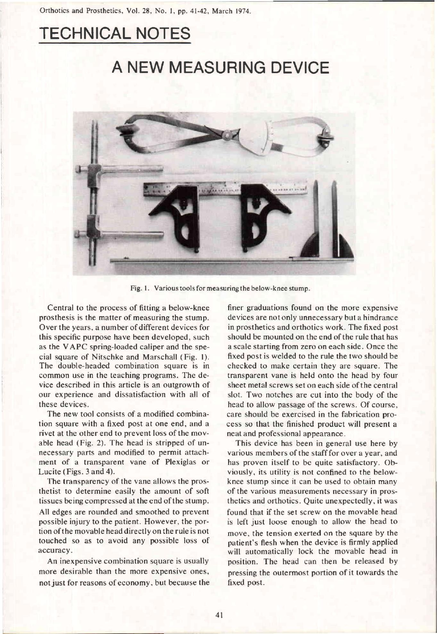## TECHNICAL NOTES

## A NEW MEASURING DEVICE



**Fig. 1. Various tools for measuring the below-knee stump.** 

Central to the process of fitting a below-knee prosthesis is the matter of measuring the stump. Over the years, a number of different devices for this specific purpose have been developed, such as the VAPC spring-loaded caliper and the special square of Nitschke and Marschall (Fig. 1). The double-headed combination square is in common use in the teaching programs. The device described in this article is an outgrowth of our experience and dissatisfaction with all of these devices.

The new tool consists of a modified combination square with a fixed post at one end, and a rivet at the other end to prevent loss of the movable head (Fig. 2). The head is stripped of unnecessary parts and modified to permit attachment of a transparent vane of Plexiglas or Lucite (Figs. 3 and 4).

The transparency of the vane allows the prosthetist to determine easily the amount of soft tissues being compressed at the end of the stump. All edges are rounded and smoothed to prevent possible injury to the patient. However, the portion of the movable head directly on the rule is not touched so as to avoid any possible loss of accuracy.

An inexpensive combination square is usually more desirable than the more expensive ones, not just for reasons of economy, but because the

finer graduations found on the more expensive devices are not only unnecessary but a hindrance in prosthetics and orthotics work. The fixed post should be mounted on the end of the rule that has a scale starting from zero on each side. Once the fixed post is welded to the rule the two should be checked to make certain they are square. The transparent vane is held onto the head by four sheet metal screws set on each side of the central slot. Two notches are cut into the body of the head to allow passage of the screws. Of course, care should be exercised in the fabrication process so that the finished product will present a neat and professional appearance.

This device has been in general use here by various members of the staff for over a year, and has proven itself to be quite satisfactory. Obviously, its utility is not confined to the belowknee stump since it can be used to obtain many of the various measurements necessary in prosthetics and orthotics. Quite unexpectedly, it was found that if the set screw on the movable head is left just loose enough to allow the head to move, the tension exerted on the square by the patient's flesh when the device is firmly applied will automatically lock the movable head in position. The head can then be released by pressing the outermost portion of it towards the fixed post.